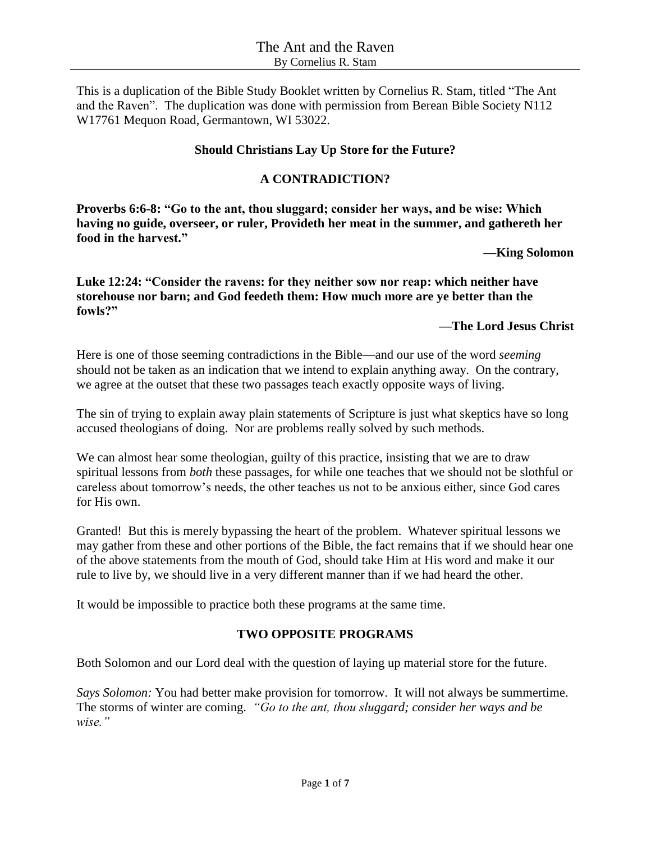This is a duplication of the Bible Study Booklet written by Cornelius R. Stam, titled "The Ant and the Raven". The duplication was done with permission from Berean Bible Society N112 W17761 Mequon Road, Germantown, WI 53022.

## **Should Christians Lay Up Store for the Future?**

## **A CONTRADICTION?**

**Proverbs 6:6-8: "Go to the ant, thou sluggard; consider her ways, and be wise: Which having no guide, overseer, or ruler, Provideth her meat in the summer, and gathereth her food in the harvest."**

#### **—King Solomon**

**Luke 12:24: "Consider the ravens: for they neither sow nor reap: which neither have storehouse nor barn; and God feedeth them: How much more are ye better than the fowls?"**

## **—The Lord Jesus Christ**

Here is one of those seeming contradictions in the Bible—and our use of the word *seeming* should not be taken as an indication that we intend to explain anything away. On the contrary, we agree at the outset that these two passages teach exactly opposite ways of living.

The sin of trying to explain away plain statements of Scripture is just what skeptics have so long accused theologians of doing. Nor are problems really solved by such methods.

We can almost hear some theologian, guilty of this practice, insisting that we are to draw spiritual lessons from *both* these passages, for while one teaches that we should not be slothful or careless about tomorrow's needs, the other teaches us not to be anxious either, since God cares for His own.

Granted! But this is merely bypassing the heart of the problem. Whatever spiritual lessons we may gather from these and other portions of the Bible, the fact remains that if we should hear one of the above statements from the mouth of God, should take Him at His word and make it our rule to live by, we should live in a very different manner than if we had heard the other.

It would be impossible to practice both these programs at the same time.

# **TWO OPPOSITE PROGRAMS**

Both Solomon and our Lord deal with the question of laying up material store for the future.

*Says Solomon:* You had better make provision for tomorrow. It will not always be summertime. The storms of winter are coming. *"Go to the ant, thou sluggard; consider her ways and be wise."*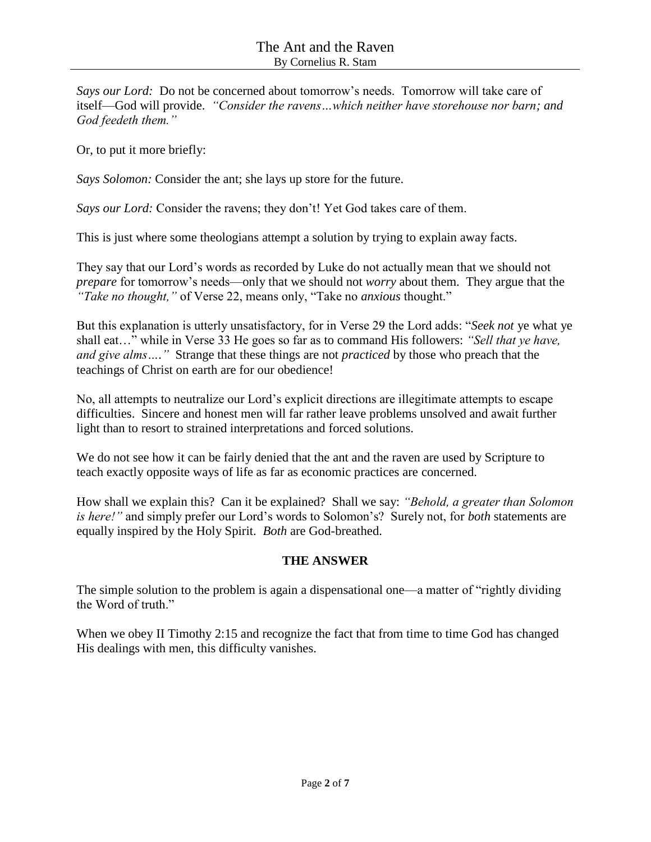*Says our Lord:* Do not be concerned about tomorrow's needs. Tomorrow will take care of itself—God will provide. *"Consider the ravens…which neither have storehouse nor barn; and God feedeth them."*

Or, to put it more briefly:

*Says Solomon:* Consider the ant; she lays up store for the future.

*Says our Lord:* Consider the ravens; they don't! Yet God takes care of them.

This is just where some theologians attempt a solution by trying to explain away facts.

They say that our Lord's words as recorded by Luke do not actually mean that we should not *prepare* for tomorrow's needs—only that we should not *worry* about them. They argue that the *"Take no thought,"* of Verse 22, means only, "Take no *anxious* thought."

But this explanation is utterly unsatisfactory, for in Verse 29 the Lord adds: "*Seek not* ye what ye shall eat…" while in Verse 33 He goes so far as to command His followers: *"Sell that ye have, and give alms…."* Strange that these things are not *practiced* by those who preach that the teachings of Christ on earth are for our obedience!

No, all attempts to neutralize our Lord's explicit directions are illegitimate attempts to escape difficulties. Sincere and honest men will far rather leave problems unsolved and await further light than to resort to strained interpretations and forced solutions.

We do not see how it can be fairly denied that the ant and the raven are used by Scripture to teach exactly opposite ways of life as far as economic practices are concerned.

How shall we explain this? Can it be explained? Shall we say: *"Behold, a greater than Solomon is here!"* and simply prefer our Lord's words to Solomon's? Surely not, for *both* statements are equally inspired by the Holy Spirit. *Both* are God-breathed.

# **THE ANSWER**

The simple solution to the problem is again a dispensational one—a matter of "rightly dividing the Word of truth."

When we obey II Timothy 2:15 and recognize the fact that from time to time God has changed His dealings with men, this difficulty vanishes.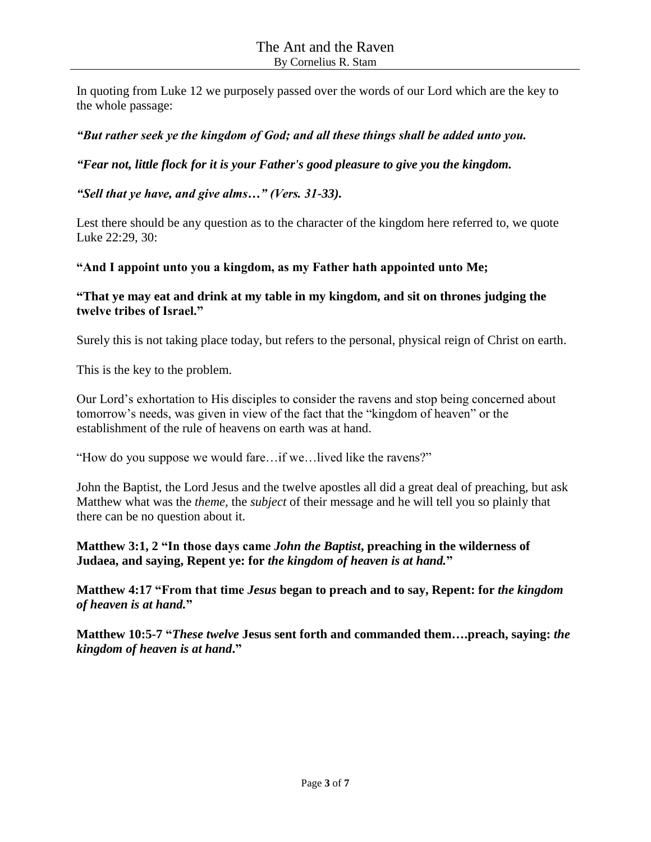In quoting from Luke 12 we purposely passed over the words of our Lord which are the key to the whole passage:

## *"But rather seek ye the kingdom of God; and all these things shall be added unto you.*

*"Fear not, little flock for it is your Father's good pleasure to give you the kingdom.* 

*"Sell that ye have, and give alms…" (Vers. 31-33).*

Lest there should be any question as to the character of the kingdom here referred to, we quote Luke 22:29, 30:

## **"And I appoint unto you a kingdom, as my Father hath appointed unto Me;**

## **"That ye may eat and drink at my table in my kingdom, and sit on thrones judging the twelve tribes of Israel."**

Surely this is not taking place today, but refers to the personal, physical reign of Christ on earth.

This is the key to the problem.

Our Lord's exhortation to His disciples to consider the ravens and stop being concerned about tomorrow's needs, was given in view of the fact that the "kingdom of heaven" or the establishment of the rule of heavens on earth was at hand.

"How do you suppose we would fare…if we…lived like the ravens?"

John the Baptist, the Lord Jesus and the twelve apostles all did a great deal of preaching, but ask Matthew what was the *theme,* the *subject* of their message and he will tell you so plainly that there can be no question about it.

## **Matthew 3:1, 2 "In those days came** *John the Baptist***, preaching in the wilderness of Judaea, and saying, Repent ye: for** *the kingdom of heaven is at hand.***"**

**Matthew 4:17 "From that time** *Jesus* **began to preach and to say, Repent: for** *the kingdom of heaven is at hand.***"**

**Matthew 10:5-7 "***These twelve* **Jesus sent forth and commanded them….preach, saying:** *the kingdom of heaven is at hand***."**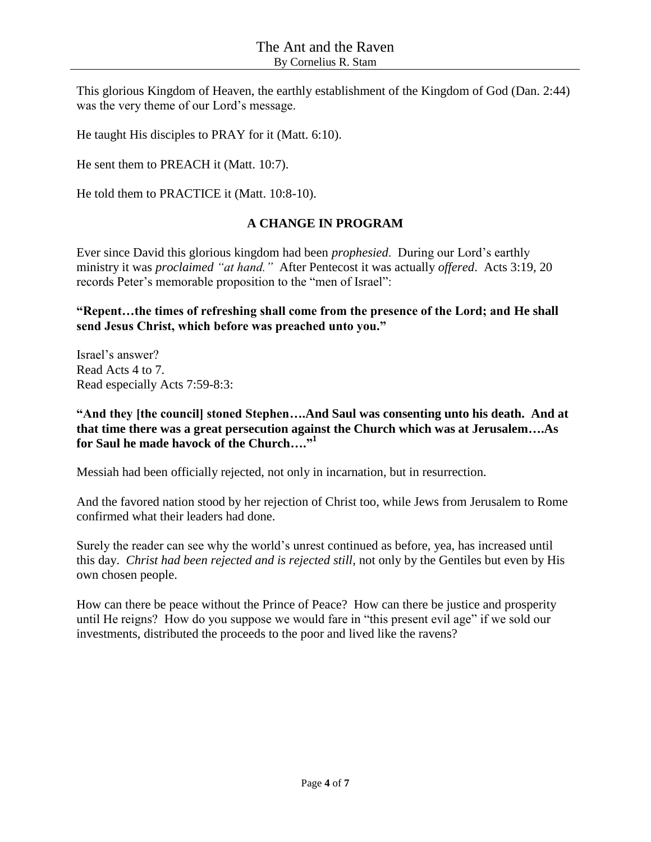This glorious Kingdom of Heaven, the earthly establishment of the Kingdom of God (Dan. 2:44) was the very theme of our Lord's message.

He taught His disciples to PRAY for it (Matt. 6:10).

He sent them to PREACH it (Matt. 10:7).

He told them to PRACTICE it (Matt. 10:8-10).

## **A CHANGE IN PROGRAM**

Ever since David this glorious kingdom had been *prophesied*. During our Lord's earthly ministry it was *proclaimed "at hand."* After Pentecost it was actually *offered*. Acts 3:19, 20 records Peter's memorable proposition to the "men of Israel":

### **"Repent…the times of refreshing shall come from the presence of the Lord; and He shall send Jesus Christ, which before was preached unto you."**

Israel's answer? Read Acts 4 to 7. Read especially Acts 7:59-8:3:

**"And they [the council] stoned Stephen….And Saul was consenting unto his death. And at that time there was a great persecution against the Church which was at Jerusalem….As for Saul he made havock of the Church…." 1**

Messiah had been officially rejected, not only in incarnation, but in resurrection.

And the favored nation stood by her rejection of Christ too, while Jews from Jerusalem to Rome confirmed what their leaders had done.

Surely the reader can see why the world's unrest continued as before, yea, has increased until this day. *Christ had been rejected and is rejected still,* not only by the Gentiles but even by His own chosen people.

How can there be peace without the Prince of Peace? How can there be justice and prosperity until He reigns? How do you suppose we would fare in "this present evil age" if we sold our investments, distributed the proceeds to the poor and lived like the ravens?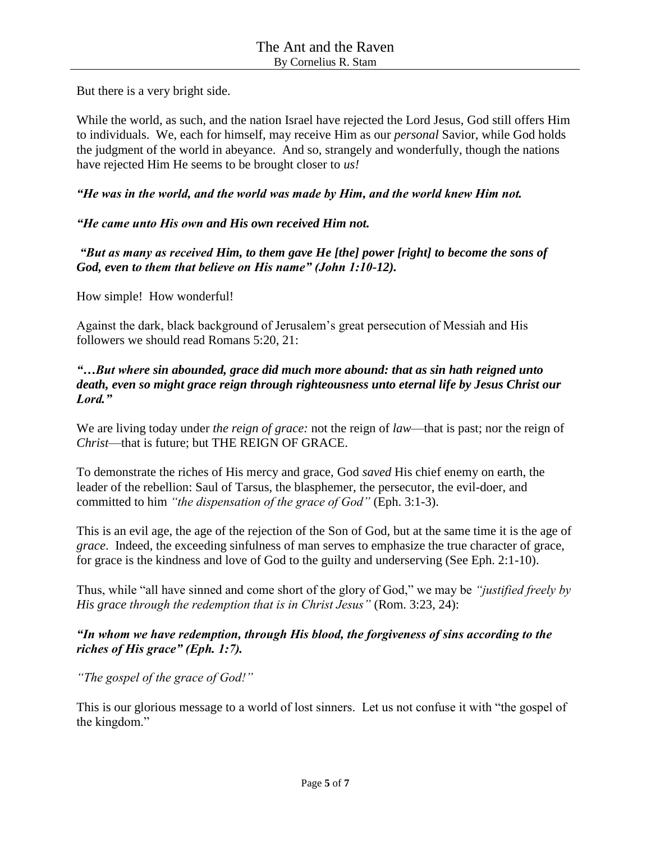But there is a very bright side.

While the world, as such, and the nation Israel have rejected the Lord Jesus, God still offers Him to individuals. We, each for himself, may receive Him as our *personal* Savior, while God holds the judgment of the world in abeyance. And so, strangely and wonderfully, though the nations have rejected Him He seems to be brought closer to *us!*

### *"He was in the world, and the world was made by Him, and the world knew Him not.*

## *"He came unto His own and His own received Him not.*

*"But as many as received Him, to them gave He [the] power [right] to become the sons of God, even to them that believe on His name" (John 1:10-12).*

How simple! How wonderful!

Against the dark, black background of Jerusalem's great persecution of Messiah and His followers we should read Romans 5:20, 21:

### *"…But where sin abounded, grace did much more abound: that as sin hath reigned unto death, even so might grace reign through righteousness unto eternal life by Jesus Christ our Lord."*

We are living today under *the reign of grace:* not the reign of *law*—that is past; nor the reign of *Christ*—that is future; but THE REIGN OF GRACE.

To demonstrate the riches of His mercy and grace, God *saved* His chief enemy on earth, the leader of the rebellion: Saul of Tarsus, the blasphemer, the persecutor, the evil-doer, and committed to him *"the dispensation of the grace of God"* (Eph. 3:1-3).

This is an evil age, the age of the rejection of the Son of God, but at the same time it is the age of *grace*. Indeed, the exceeding sinfulness of man serves to emphasize the true character of grace, for grace is the kindness and love of God to the guilty and underserving (See Eph. 2:1-10).

Thus, while "all have sinned and come short of the glory of God," we may be *"justified freely by His grace through the redemption that is in Christ Jesus"* (Rom. 3:23, 24):

## *"In whom we have redemption, through His blood, the forgiveness of sins according to the riches of His grace" (Eph. 1:7).*

*"The gospel of the grace of God!"*

This is our glorious message to a world of lost sinners. Let us not confuse it with "the gospel of the kingdom."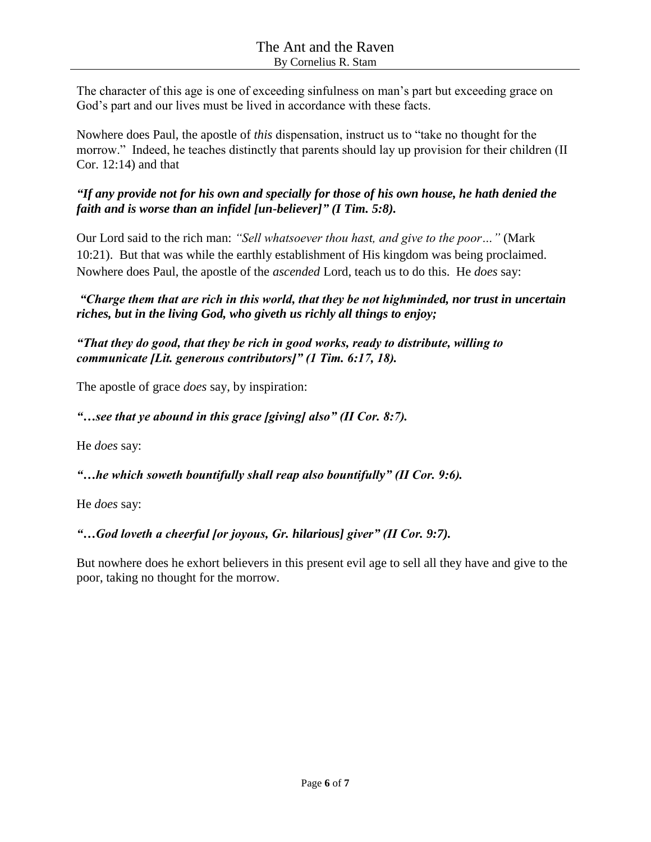The character of this age is one of exceeding sinfulness on man's part but exceeding grace on God's part and our lives must be lived in accordance with these facts.

Nowhere does Paul, the apostle of *this* dispensation, instruct us to "take no thought for the morrow." Indeed, he teaches distinctly that parents should lay up provision for their children (II Cor. 12:14) and that

*"If any provide not for his own and specially for those of his own house, he hath denied the faith and is worse than an infidel [un-believer]" (I Tim. 5:8).*

Our Lord said to the rich man: *"Sell whatsoever thou hast, and give to the poor…"* (Mark 10:21). But that was while the earthly establishment of His kingdom was being proclaimed. Nowhere does Paul, the apostle of the *ascended* Lord, teach us to do this. He *does* say:

*"Charge them that are rich in this world, that they be not highminded, nor trust in uncertain riches, but in the living God, who giveth us richly all things to enjoy;* 

*"That they do good, that they be rich in good works, ready to distribute, willing to communicate [Lit. generous contributors]" (1 Tim. 6:17, 18).*

The apostle of grace *does* say, by inspiration:

*"…see that ye abound in this grace [giving] also" (II Cor. 8:7).*

He *does* say:

*"…he which soweth bountifully shall reap also bountifully" (II Cor. 9:6).*

He *does* say:

*"…God loveth a cheerful [or joyous, Gr. hilarious] giver" (II Cor. 9:7).*

But nowhere does he exhort believers in this present evil age to sell all they have and give to the poor, taking no thought for the morrow.